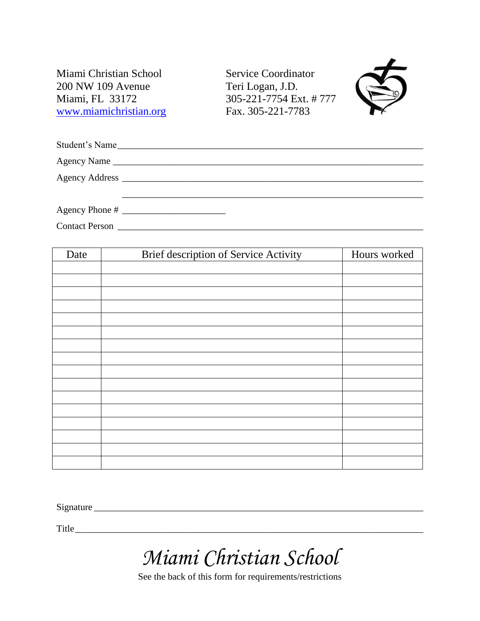Miami Christian School Service Coordinator 200 NW 109 Avenue Teri Logan, J.D. Miami, FL 33172 305-221-7754 Ext. # 777 [www.miamichristian.org](http://www.miamichristian.org/) Fax. 305-221-7783



|                       | Student's Name |
|-----------------------|----------------|
|                       |                |
|                       |                |
|                       |                |
| <b>Contact Person</b> |                |

| Date | Brief description of Service Activity | Hours worked |
|------|---------------------------------------|--------------|
|      |                                       |              |
|      |                                       |              |
|      |                                       |              |
|      |                                       |              |
|      |                                       |              |
|      |                                       |              |
|      |                                       |              |
|      |                                       |              |
|      |                                       |              |
|      |                                       |              |
|      |                                       |              |
|      |                                       |              |
|      |                                       |              |
|      |                                       |              |
|      |                                       |              |
|      |                                       |              |

Signature \_\_\_\_\_\_\_\_\_\_\_\_\_\_\_\_\_\_\_\_\_\_\_\_\_\_\_\_\_\_\_\_\_\_\_\_\_\_\_\_\_\_\_\_\_\_\_\_\_\_\_\_\_\_\_\_\_\_\_\_\_\_\_\_\_\_\_\_\_\_

Title\_\_\_\_\_\_\_\_\_\_\_\_\_\_\_\_\_\_\_\_\_\_\_\_\_\_\_\_\_\_\_\_\_\_\_\_\_\_\_\_\_\_\_\_\_\_\_\_\_\_\_\_\_\_\_\_\_\_\_\_\_\_\_\_\_\_\_\_\_\_\_\_\_\_

*Miami Christian School*

See the back of this form for requirements/restrictions